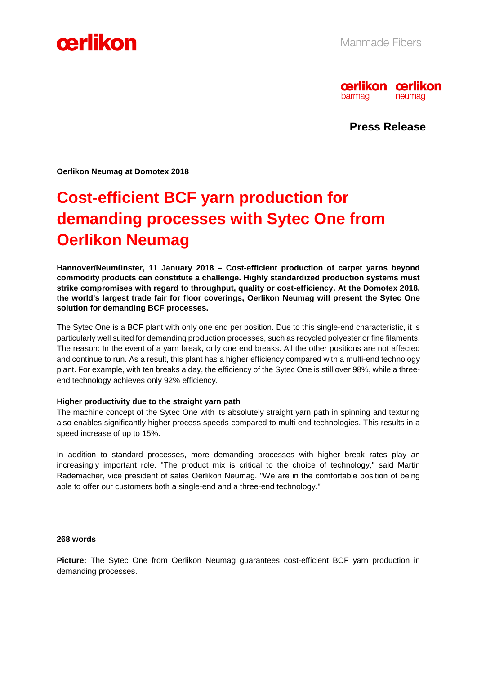



**Press Release** 

**Oerlikon Neumag at Domotex 2018** 

# **Cost-efficient BCF yarn production for demanding processes with Sytec One from Oerlikon Neumag**

**Hannover/Neumünster, 11 January 2018 – Cost-efficient production of carpet yarns beyond commodity products can constitute a challenge. Highly standardized production systems must strike compromises with regard to throughput, quality or cost-efficiency. At the Domotex 2018, the world's largest trade fair for floor coverings, Oerlikon Neumag will present the Sytec One solution for demanding BCF processes.**

The Sytec One is a BCF plant with only one end per position. Due to this single-end characteristic, it is particularly well suited for demanding production processes, such as recycled polyester or fine filaments. The reason: In the event of a yarn break, only one end breaks. All the other positions are not affected and continue to run. As a result, this plant has a higher efficiency compared with a multi-end technology plant. For example, with ten breaks a day, the efficiency of the Sytec One is still over 98%, while a threeend technology achieves only 92% efficiency.

#### **Higher productivity due to the straight yarn path**

The machine concept of the Sytec One with its absolutely straight yarn path in spinning and texturing also enables significantly higher process speeds compared to multi-end technologies. This results in a speed increase of up to 15%.

In addition to standard processes, more demanding processes with higher break rates play an increasingly important role. "The product mix is critical to the choice of technology," said Martin Rademacher, vice president of sales Oerlikon Neumag. "We are in the comfortable position of being able to offer our customers both a single-end and a three-end technology."

#### **268 words**

**Picture:** The Sytec One from Oerlikon Neumag guarantees cost-efficient BCF yarn production in demanding processes.